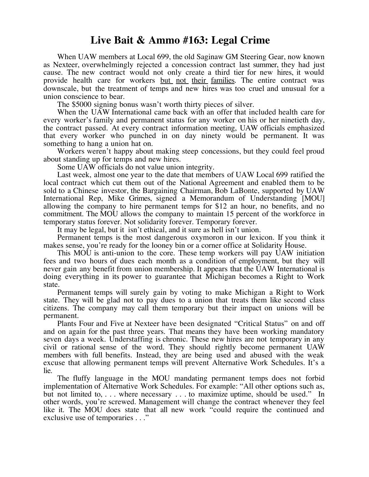## **Live Bait & Ammo #163: Legal Crime**

When UAW members at Local 699, the old Saginaw GM Steering Gear, now known as Nexteer, overwhelmingly rejected a concession contract last summer, they had just cause. The new contract would not only create a third tier for new hires, it would provide health care for workers but not their families. The entire contract was downscale, but the treatment of temps and new hires was too cruel and unusual for a union conscience to bear.

The \$5000 signing bonus wasn't worth thirty pieces of silver.

When the UAW International came back with an offer that included health care for every worker's family and permanent status for any worker on his or her ninetieth day, the contract passed. At every contract information meeting, UAW officials emphasized that every worker who punched in on day ninety would be permanent. It was something to hang a union hat on.

Workers weren't happy about making steep concessions, but they could feel proud about standing up for temps and new hires.

Some UAW officials do not value union integrity.

Last week, almost one year to the date that members of UAW Local 699 ratified the local contract which cut them out of the National Agreement and enabled them to be sold to a Chinese investor, the Bargaining Chairman, Bob LaBonte, supported by UAW International Rep, Mike Grimes, signed a Memorandum of Understanding [MOU] allowing the company to hire permanent temps for \$12 an hour, no benefits, and no commitment. The MOU allows the company to maintain 15 percent of the workforce in temporary status forever. Not solidarity forever. Temporary forever.

It may be legal, but it isn't ethical, and it sure as hell isn't union.

Permanent temps is the most dangerous oxymoron in our lexicon. If you think it makes sense, you're ready for the looney bin or a corner office at Solidarity House.

This MOU is anti-union to the core. These temp workers will pay UAW initiation fees and two hours of dues each month as a condition of employment, but they will never gain any benefit from union membership. It appears that the UAW International is doing everything in its power to guarantee that Michigan becomes a Right to Work state.

Permanent temps will surely gain by voting to make Michigan a Right to Work state. They will be glad not to pay dues to a union that treats them like second class citizens. The company may call them temporary but their impact on unions will be permanent.

Plants Four and Five at Nexteer have been designated "Critical Status" on and off and on again for the past three years. That means they have been working mandatory seven days a week. Understaffing is chronic. These new hires are not temporary in any civil or rational sense of the word. They should rightly become permanent UAW members with full benefits. Instead, they are being used and abused with the weak excuse that allowing permanent temps will prevent Alternative Work Schedules. It's a lie.

The fluffy language in the MOU mandating permanent temps does not forbid implementation of Alternative Work Schedules. For example: "All other options such as, but not limited to, ... where necessary ... to maximize uptime, should be used." In other words, you're screwed. Management will change the contract whenever they feel like it. The MOU does state that all new work "could require the continued and exclusive use of temporaries . . ."